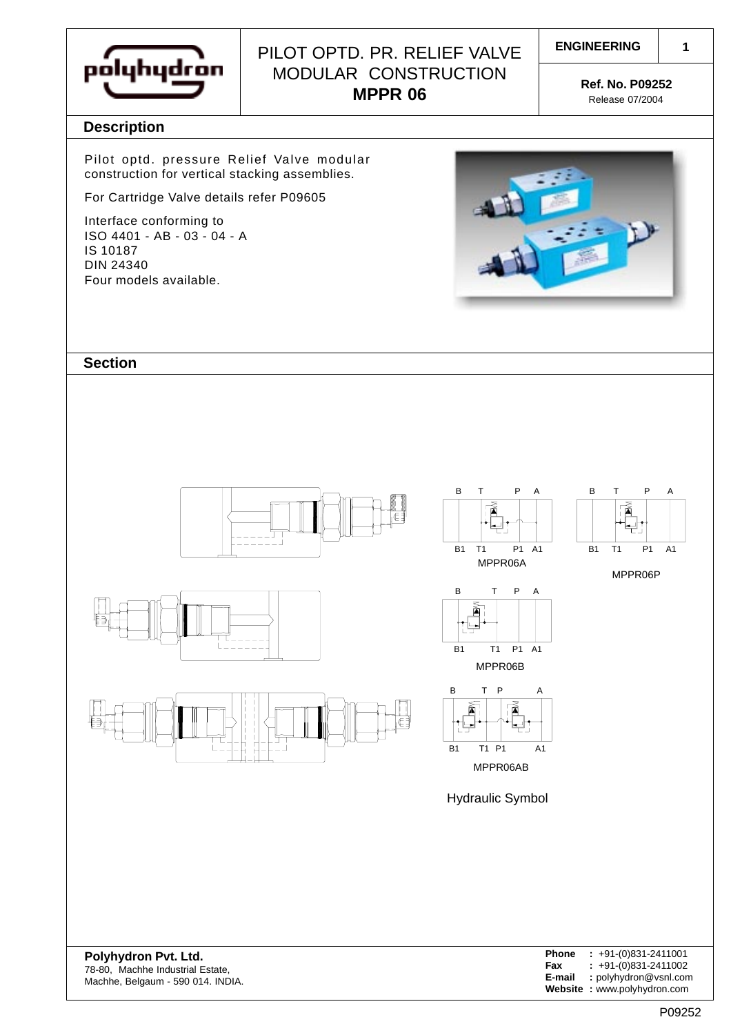

# PILOT OPTD. PR. RELIEF VALVE | ENGINEERING MODULAR CONSTRUCTION **MPPR 06 Ref. No. P09252**

Release 07/2004

**1**

### **Description**

Pilot optd. pressure Relief Valve modular construction for vertical stacking assemblies.

For Cartridge Valve details refer P09605

Interface conforming to ISO 4401 - AB - 03 - 04 - A IS 10187 DIN 24340 Four models available.



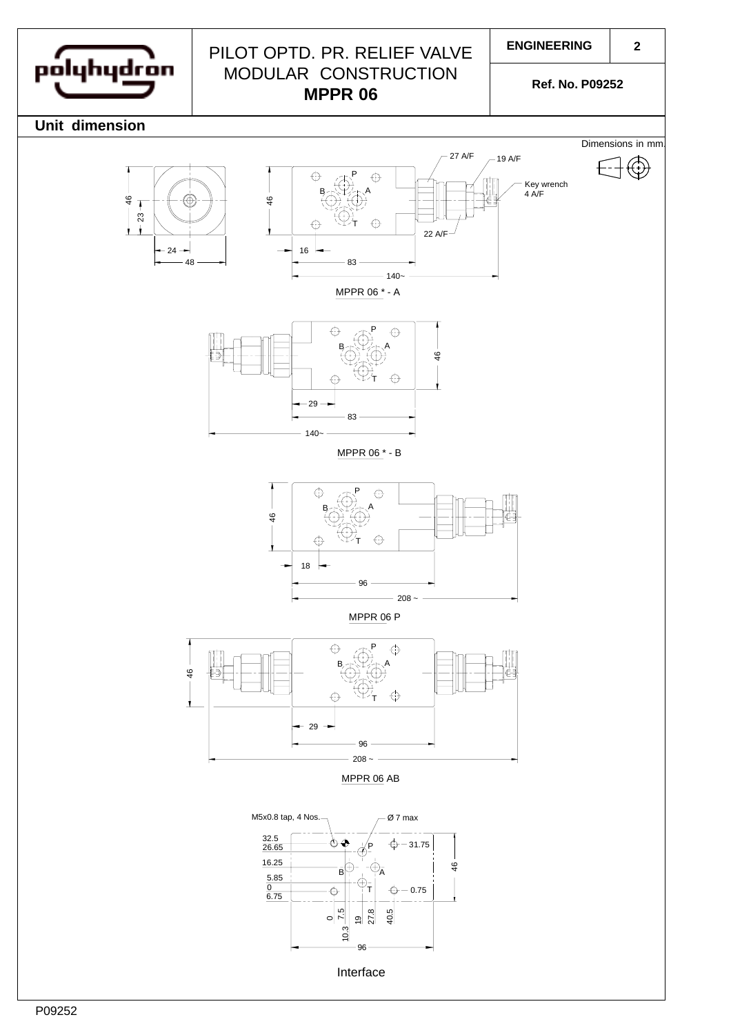

## PILOT OPTD. PR. RELIEF VALVE MODULAR CONSTRUCTION **MPPR 06**

**ENGINEERING**

**2**

**Ref. No. P09252**

**Unit dimension**